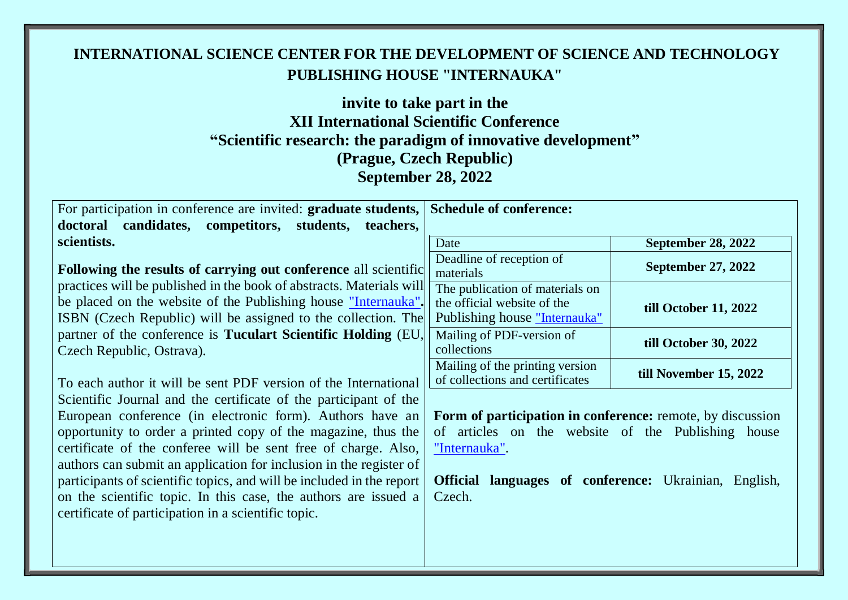# **INTERNATIONAL SCIENCE CENTER FOR THE DEVELOPMENT OF SCIENCE AND TECHNOLOGY PUBLISHING HOUSE "INTERNAUKA"**

# **invite to take part in the XІІ International Scientific Conference "Scientific research: the paradigm of innovative development" (Prague, Czech Republic) September 28, 2022**

| September 28, 2022                                                                                                                                                                                                                                                                                                                                                                                                                                                                                                                                                                                                                                                                                                                                                                                                                                                                                                                                                                       |                                                                                                                                                                                                                |                           |  |
|------------------------------------------------------------------------------------------------------------------------------------------------------------------------------------------------------------------------------------------------------------------------------------------------------------------------------------------------------------------------------------------------------------------------------------------------------------------------------------------------------------------------------------------------------------------------------------------------------------------------------------------------------------------------------------------------------------------------------------------------------------------------------------------------------------------------------------------------------------------------------------------------------------------------------------------------------------------------------------------|----------------------------------------------------------------------------------------------------------------------------------------------------------------------------------------------------------------|---------------------------|--|
| For participation in conference are invited: graduate students,<br>candidates, competitors, students,<br>doctoral<br>teachers,                                                                                                                                                                                                                                                                                                                                                                                                                                                                                                                                                                                                                                                                                                                                                                                                                                                           | <b>Schedule of conference:</b>                                                                                                                                                                                 |                           |  |
| scientists.                                                                                                                                                                                                                                                                                                                                                                                                                                                                                                                                                                                                                                                                                                                                                                                                                                                                                                                                                                              | Date                                                                                                                                                                                                           | <b>September 28, 2022</b> |  |
| Following the results of carrying out conference all scientific<br>practices will be published in the book of abstracts. Materials will<br>be placed on the website of the Publishing house "Internauka".<br>ISBN (Czech Republic) will be assigned to the collection. The<br>partner of the conference is Tuculart Scientific Holding (EU,<br>Czech Republic, Ostrava).<br>To each author it will be sent PDF version of the International<br>Scientific Journal and the certificate of the participant of the<br>European conference (in electronic form). Authors have an<br>opportunity to order a printed copy of the magazine, thus the<br>certificate of the conferee will be sent free of charge. Also,<br>authors can submit an application for inclusion in the register of<br>participants of scientific topics, and will be included in the report<br>on the scientific topic. In this case, the authors are issued a<br>certificate of participation in a scientific topic. | Deadline of reception of<br>materials                                                                                                                                                                          | <b>September 27, 2022</b> |  |
|                                                                                                                                                                                                                                                                                                                                                                                                                                                                                                                                                                                                                                                                                                                                                                                                                                                                                                                                                                                          | The publication of materials on<br>the official website of the<br>Publishing house "Internauka"                                                                                                                | till October 11, 2022     |  |
|                                                                                                                                                                                                                                                                                                                                                                                                                                                                                                                                                                                                                                                                                                                                                                                                                                                                                                                                                                                          | Mailing of PDF-version of<br>collections                                                                                                                                                                       | till October 30, 2022     |  |
|                                                                                                                                                                                                                                                                                                                                                                                                                                                                                                                                                                                                                                                                                                                                                                                                                                                                                                                                                                                          | Mailing of the printing version<br>of collections and certificates                                                                                                                                             | till November 15, 2022    |  |
|                                                                                                                                                                                                                                                                                                                                                                                                                                                                                                                                                                                                                                                                                                                                                                                                                                                                                                                                                                                          | Form of participation in conference: remote, by discussion<br>of articles on the website of the Publishing house<br>"Internauka".<br><b>Official</b><br>languages of conference: Ukrainian, English,<br>Czech. |                           |  |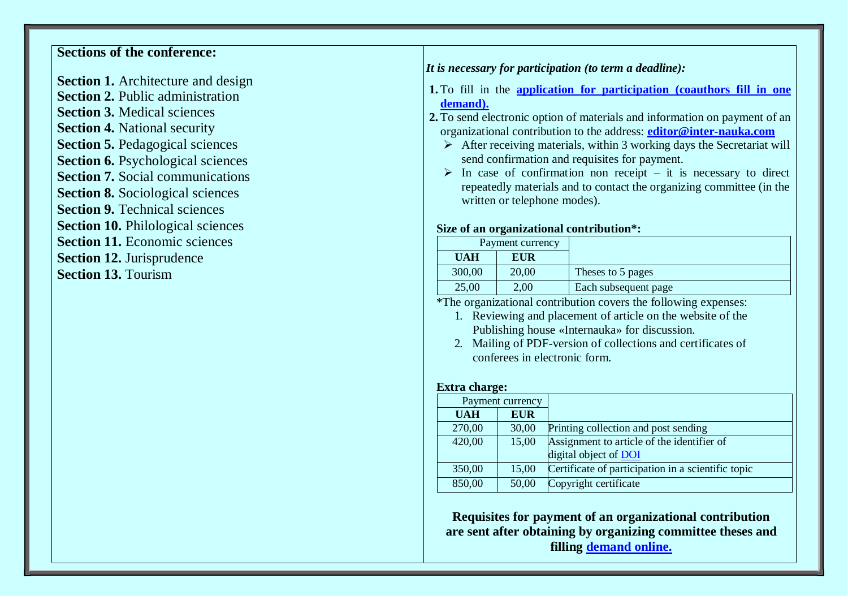# **Sections of the conference:**

**Section 1.** Architecture and design **Section 2. Public administration Section 3.** Medical sciences **Section 4.** National security **Section 5.** Pedagogical sciences **Section 6.** Psychological sciences **Section 7.** Social communications **Section 8.** Sociological sciences **Section 9. Technical sciences Section 10.** Philological sciences **Section 11.** Economic sciences **Section 12.** Jurisprudence **Section 13.** Tourism

### *It is necessary for participation (to term a deadline):*

- **1.** To fill in the **[application for participation \(coauthors fill in one](https://docs.google.com/forms/d/e/1FAIpQLSde8n--sYkG-070jd5moGStjkvJkQmI4sYc5dhfpUsoPov_UQ/viewform) [demand\).](https://docs.google.com/forms/d/e/1FAIpQLSde8n--sYkG-070jd5moGStjkvJkQmI4sYc5dhfpUsoPov_UQ/viewform)**
- **2.** To send electronic option of materials and information on payment of an organizational contribution to the address: **editor@inter-nauka.com**
	- $\triangleright$  After receiving materials, within 3 working days the Secretariat will send confirmation and requisites for payment.
	- $\triangleright$  In case of confirmation non receipt it is necessary to direct repeatedly materials and to contact the organizing committee (in the written or telephone modes).

### **Size of an organizational contribution\*:**

|            | Payment currency |                      |
|------------|------------------|----------------------|
| <b>UAH</b> | EUR              |                      |
| 300,00     | 20,00            | Theses to 5 pages    |
| 25,00      | 2,00             | Each subsequent page |

\*The organizational contribution covers the following expenses:

- 1. Reviewing and placement of article on the website of the Publishing house «Internauka» for discussion.
- 2. Mailing of PDF-version of collections and certificates of conferees in electronic form.

#### **Extra charge:**

| Payment currency |            |                                                    |
|------------------|------------|----------------------------------------------------|
| <b>UAH</b>       | <b>EUR</b> |                                                    |
| 270,00           | 30,00      | Printing collection and post sending               |
| 420,00           | 15,00      | Assignment to article of the identifier of         |
|                  |            | digital object of DOI                              |
| 350,00           | 15,00      | Certificate of participation in a scientific topic |
| 850,00           | 50,00      | Copyright certificate                              |

**Requisites for payment of an organizational contribution are sent after obtaining by organizing committee theses and filling [demand online.](https://docs.google.com/forms/d/e/1FAIpQLSde8n--sYkG-070jd5moGStjkvJkQmI4sYc5dhfpUsoPov_UQ/viewform)**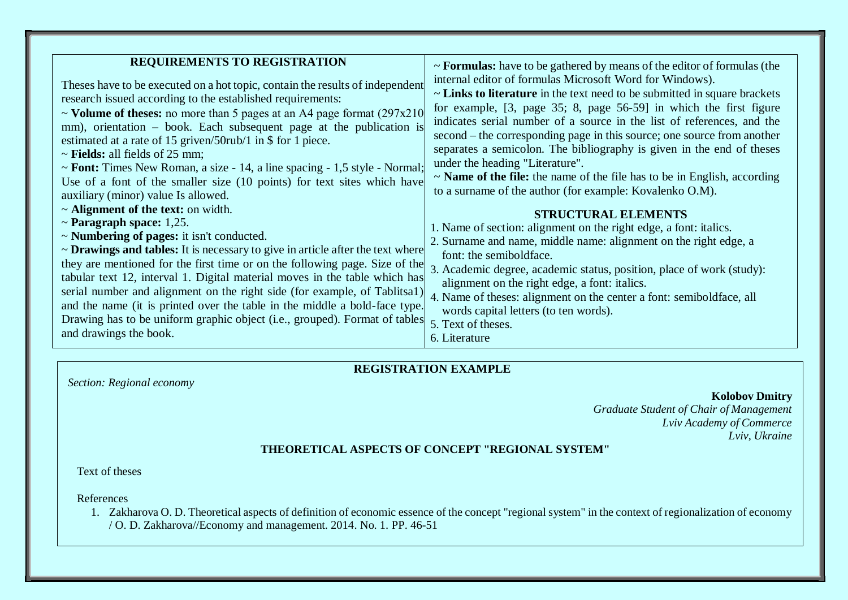| <b>REQUIREMENTS TO REGISTRATION</b>                                                                                                                                                                                                                                                                                                                                                                                                                                                                                                                                                                                                                             |                                                                                                                                                                                                                                                                                                                                                                                                                                                                                                                                                                                                                                                                                                                              |
|-----------------------------------------------------------------------------------------------------------------------------------------------------------------------------------------------------------------------------------------------------------------------------------------------------------------------------------------------------------------------------------------------------------------------------------------------------------------------------------------------------------------------------------------------------------------------------------------------------------------------------------------------------------------|------------------------------------------------------------------------------------------------------------------------------------------------------------------------------------------------------------------------------------------------------------------------------------------------------------------------------------------------------------------------------------------------------------------------------------------------------------------------------------------------------------------------------------------------------------------------------------------------------------------------------------------------------------------------------------------------------------------------------|
| Theses have to be executed on a hot topic, contain the results of independent<br>research issued according to the established requirements:<br>~ Volume of theses: no more than 5 pages at an A4 page format $(297x210$<br>mm), orientation – book. Each subsequent page at the publication is<br>estimated at a rate of 15 griven/50rub/1 in \$ for 1 piece.<br>$\sim$ <b>Fields:</b> all fields of 25 mm;<br>~ Font: Times New Roman, a size - 14, a line spacing - 1,5 style - Normal;<br>Use of a font of the smaller size (10 points) for text sites which have<br>auxiliary (minor) value Is allowed.                                                     | $\sim$ <b>Formulas:</b> have to be gathered by means of the editor of formulas (the<br>internal editor of formulas Microsoft Word for Windows).<br>$\sim$ Links to literature in the text need to be submitted in square brackets<br>for example, [3, page 35; 8, page 56-59] in which the first figure<br>indicates serial number of a source in the list of references, and the<br>second – the corresponding page in this source; one source from another<br>separates a semicolon. The bibliography is given in the end of theses<br>under the heading "Literature".<br>$\sim$ <b>Name of the file:</b> the name of the file has to be in English, according<br>to a surname of the author (for example: Kovalenko O.M). |
| $\sim$ Alignment of the text: on width.<br>$\sim$ Paragraph space: 1,25.<br>$\sim$ <b>Numbering of pages:</b> it isn't conducted.<br>$\sim$ <b>Drawings and tables:</b> It is necessary to give in article after the text where<br>they are mentioned for the first time or on the following page. Size of the<br>tabular text 12, interval 1. Digital material moves in the table which has<br>serial number and alignment on the right side (for example, of Tablitsa1)<br>and the name (it is printed over the table in the middle a bold-face type.<br>Drawing has to be uniform graphic object (i.e., grouped). Format of tables<br>and drawings the book. | <b>STRUCTURAL ELEMENTS</b><br>1. Name of section: alignment on the right edge, a font: italics.<br>2. Surname and name, middle name: alignment on the right edge, a<br>font: the semiboldface.<br>3. Academic degree, academic status, position, place of work (study):<br>alignment on the right edge, a font: italics.<br>4. Name of theses: alignment on the center a font: semiboldface, all<br>words capital letters (to ten words).<br>5. Text of theses.<br>6. Literature                                                                                                                                                                                                                                             |

## **REGISTRATION EXAMPLE**

**Kolobov Dmitry**

*Graduate Student of Chair of Management Lviv Academy of Commerce Lviv, Ukraine*

## **THEORETICAL ASPECTS OF CONCEPT "REGIONAL SYSTEM"**

Text of theses

References

1. Zakharova O. D. Theoretical aspects of definition of economic essence of the concept "regional system" in the context of regionalization of economy / O. D. Zakharova//Economy and management. 2014. No. 1. PP. 46-51